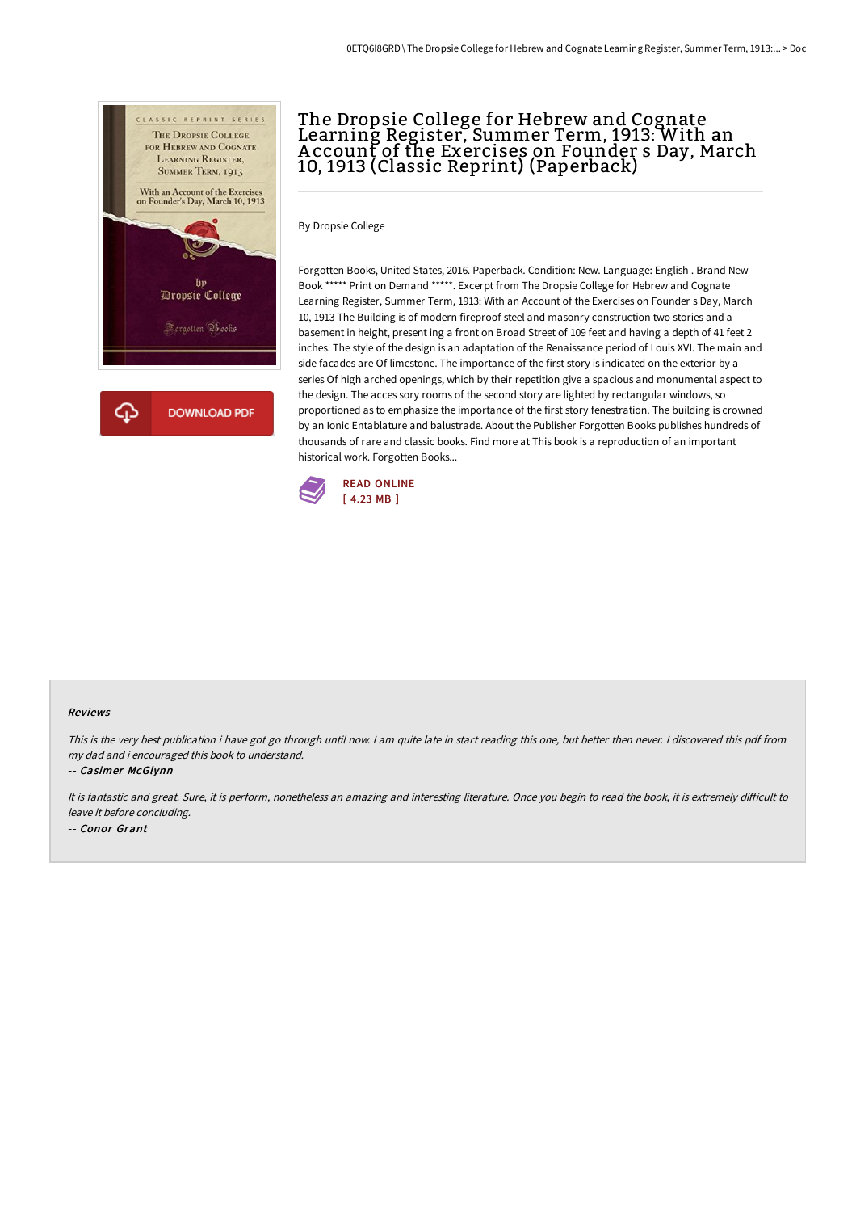

## The Dropsie College for Hebrew and Cognate Learning Register, Summer Term, 1913: With an A ccount of the Exercises on Founder s Day, March 10, 1913 (Classic Reprint) (Paperback)

By Dropsie College

Forgotten Books, United States, 2016. Paperback. Condition: New. Language: English . Brand New Book \*\*\*\*\* Print on Demand \*\*\*\*\*. Excerpt from The Dropsie College for Hebrew and Cognate Learning Register, Summer Term, 1913: With an Account of the Exercises on Founder s Day, March 10, 1913 The Building is of modern fireproof steel and masonry construction two stories and a basement in height, present ing a front on Broad Street of 109 feet and having a depth of 41 feet 2 inches. The style of the design is an adaptation of the Renaissance period of Louis XVI. The main and side facades are Of limestone. The importance of the first story is indicated on the exterior by a series Of high arched openings, which by their repetition give a spacious and monumental aspect to the design. The acces sory rooms of the second story are lighted by rectangular windows, so proportioned as to emphasize the importance of the first story fenestration. The building is crowned by an Ionic Entablature and balustrade. About the Publisher Forgotten Books publishes hundreds of thousands of rare and classic books. Find more at This book is a reproduction of an important historical work. Forgotten Books...



## Reviews

This is the very best publication i have got go through until now. <sup>I</sup> am quite late in start reading this one, but better then never. <sup>I</sup> discovered this pdf from my dad and i encouraged this book to understand.

-- Casimer McGlynn

It is fantastic and great. Sure, it is perform, nonetheless an amazing and interesting literature. Once you begin to read the book, it is extremely difficult to leave it before concluding. -- Conor Grant